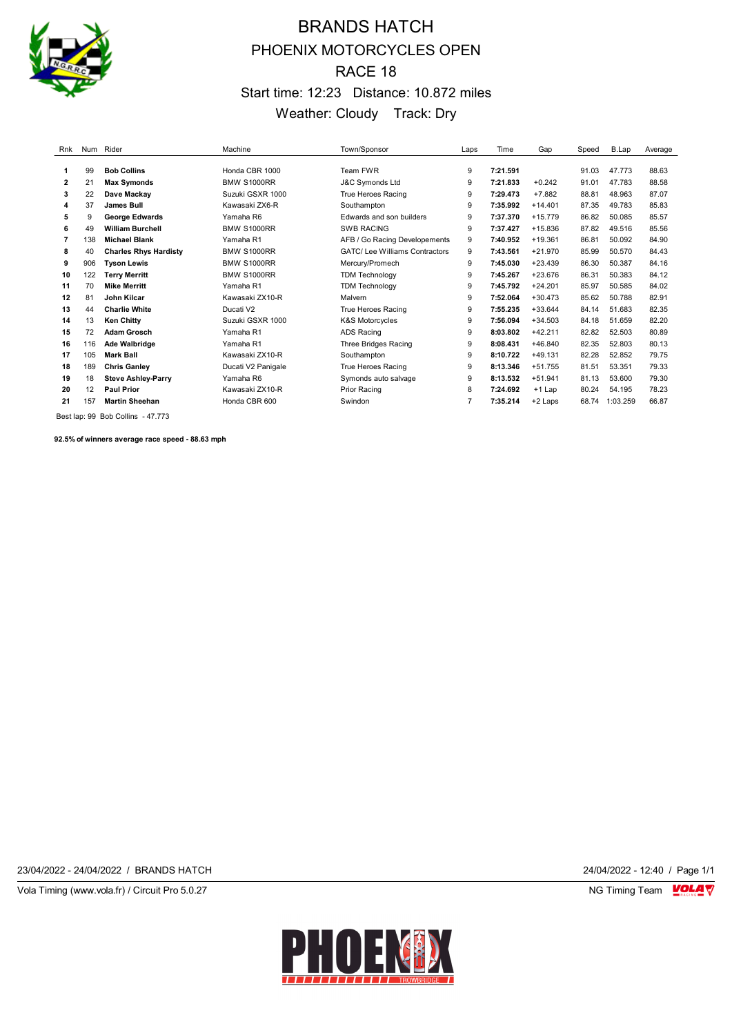

# BRANDS HATCH PHOENIX MOTORCYCLES OPEN RACE 18 Start time: 12:23 Distance: 10.872 miles Weather: Cloudy Track: Dry

| Rnk |     | Num Rider                    | Machine            | Town/Sponsor                         | Laps | Time     | Gap       | Speed | B.Lap    | Average |
|-----|-----|------------------------------|--------------------|--------------------------------------|------|----------|-----------|-------|----------|---------|
|     |     |                              |                    |                                      |      |          |           |       |          |         |
|     | 99  | <b>Bob Collins</b>           | Honda CBR 1000     | Team FWR                             | 9    | 7:21.591 |           | 91.03 | 47.773   | 88.63   |
| 2   | 21  | <b>Max Symonds</b>           | <b>BMW S1000RR</b> | <b>J&amp;C Symonds Ltd</b>           | 9    | 7:21.833 | $+0.242$  | 91.01 | 47.783   | 88.58   |
| 3   | 22  | Dave Mackav                  | Suzuki GSXR 1000   | True Heroes Racing                   | 9    | 7:29.473 | $+7.882$  | 88.81 | 48.963   | 87.07   |
| 4   | 37  | <b>James Bull</b>            | Kawasaki ZX6-R     | Southampton                          | 9    | 7:35.992 | $+14.401$ | 87.35 | 49.783   | 85.83   |
| 5   | 9   | <b>George Edwards</b>        | Yamaha R6          | Edwards and son builders             | 9    | 7:37.370 | $+15.779$ | 86.82 | 50.085   | 85.57   |
| 6   | 49  | <b>William Burchell</b>      | <b>BMW S1000RR</b> | <b>SWB RACING</b>                    | 9    | 7:37.427 | $+15.836$ | 87.82 | 49.516   | 85.56   |
| 7   | 138 | <b>Michael Blank</b>         | Yamaha R1          | AFB / Go Racing Developements        | 9    | 7:40.952 | $+19.361$ | 86.81 | 50.092   | 84.90   |
| 8   | 40  | <b>Charles Rhys Hardisty</b> | <b>BMW S1000RR</b> | <b>GATC/Lee Williams Contractors</b> | 9    | 7:43.561 | $+21.970$ | 85.99 | 50.570   | 84.43   |
| 9   | 906 | <b>Tyson Lewis</b>           | <b>BMW S1000RR</b> | Mercury/Promech                      | 9    | 7:45.030 | $+23.439$ | 86.30 | 50.387   | 84.16   |
| 10  | 122 | <b>Terry Merritt</b>         | <b>BMW S1000RR</b> | <b>TDM Technology</b>                | 9    | 7:45.267 | $+23.676$ | 86.31 | 50.383   | 84.12   |
| 11  | 70  | <b>Mike Merritt</b>          | Yamaha R1          | <b>TDM Technology</b>                | 9    | 7:45.792 | $+24.201$ | 85.97 | 50.585   | 84.02   |
| 12  | 81  | John Kilcar                  | Kawasaki ZX10-R    | Malvern                              | 9    | 7:52.064 | $+30.473$ | 85.62 | 50.788   | 82.91   |
| 13  | 44  | <b>Charlie White</b>         | Ducati V2          | True Heroes Racing                   | 9    | 7:55.235 | $+33.644$ | 84.14 | 51.683   | 82.35   |
| 14  | 13  | <b>Ken Chitty</b>            | Suzuki GSXR 1000   | <b>K&amp;S Motorcycles</b>           | 9    | 7:56.094 | $+34.503$ | 84.18 | 51.659   | 82.20   |
| 15  | 72  | <b>Adam Grosch</b>           | Yamaha R1          | <b>ADS Racing</b>                    | 9    | 8:03.802 | $+42.211$ | 82.82 | 52.503   | 80.89   |
| 16  | 116 | Ade Walbridge                | Yamaha R1          | Three Bridges Racing                 | 9    | 8:08.431 | $+46.840$ | 82.35 | 52.803   | 80.13   |
| 17  | 105 | <b>Mark Ball</b>             | Kawasaki ZX10-R    | Southampton                          | 9    | 8:10.722 | $+49.131$ | 82.28 | 52.852   | 79.75   |
| 18  | 189 | <b>Chris Ganley</b>          | Ducati V2 Panigale | True Heroes Racing                   | 9    | 8:13.346 | $+51.755$ | 81.51 | 53.351   | 79.33   |
| 19  | 18  | <b>Steve Ashley-Parry</b>    | Yamaha R6          | Symonds auto salvage                 | 9    | 8:13.532 | $+51.941$ | 81.13 | 53.600   | 79.30   |
| 20  | 12  | <b>Paul Prior</b>            | Kawasaki ZX10-R    | Prior Racing                         | 8    | 7:24.692 | $+1$ Lap  | 80.24 | 54.195   | 78.23   |
| 21  | 157 | <b>Martin Sheehan</b>        | Honda CBR 600      | Swindon                              | 7    | 7:35.214 | $+2$ Laps | 68.74 | 1:03.259 | 66.87   |
|     |     |                              |                    |                                      |      |          |           |       |          |         |

Best lap: 99 Bob Collins - 47.773

**92.5% of winners average race speed - 88.63 mph**

23/04/2022 - 24/04/2022 / BRANDS HATCH 24/04/2022 - 12:40 / Page 1/1

Vola Timing (www.vola.fr) / Circuit Pro 5.0.27 NG Timing Team VOLA V

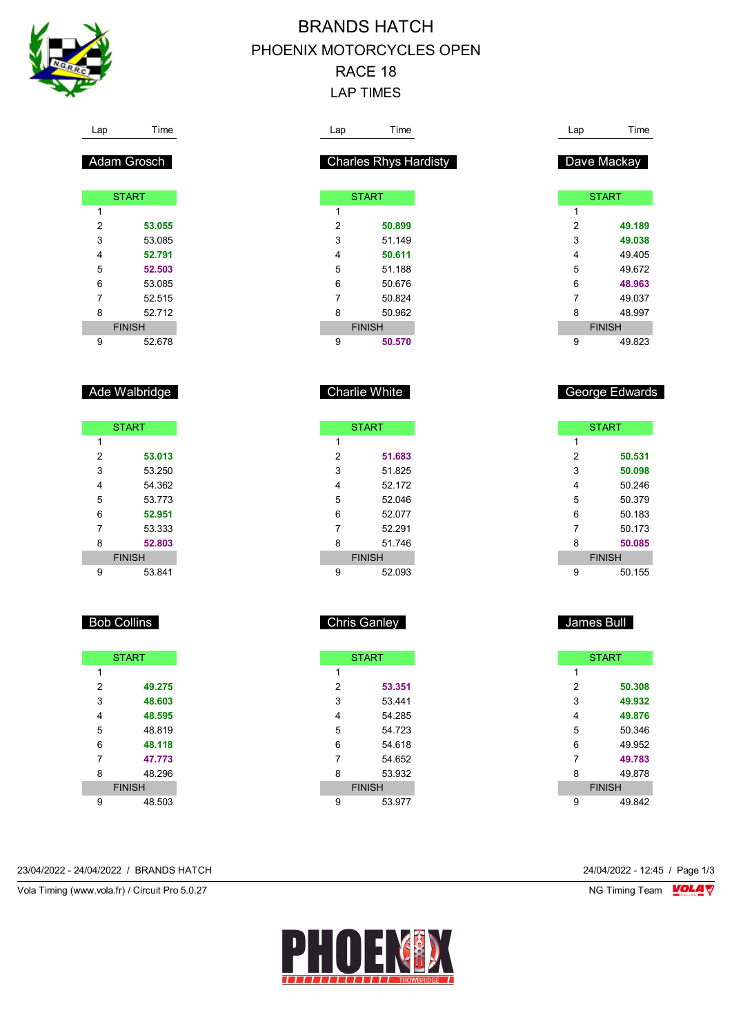

Lap Time

Adam Grosch

**START** 

 **53.055** 53.085 **52.791 52.503** 53.085 52.515 52.712 FINISH 52.678

Ade Walbridge

**START** 

 **53.013** 53.250 54.362 53.773 **52.951** 53.333 **52.803** FINISH 53.841

 $\overline{1}$ 

# BRANDS HATCH PHOENIX MOTORCYCLES OPEN RACE 18 LAP TIMES

|                     | Time                         | Lap            | Time                                                     |
|---------------------|------------------------------|----------------|----------------------------------------------------------|
|                     | <b>Charles Rhys Hardisty</b> |                | Dave Mackay                                              |
|                     |                              |                |                                                          |
| 1                   | <b>START</b>                 |                | <b>START</b>                                             |
|                     |                              | 1              |                                                          |
| $\overline{c}$<br>3 | 50.899                       | $\overline{c}$ | 49.189                                                   |
|                     | 51.149                       | 3<br>4         | 49.038                                                   |
| 4                   | 50.611<br>51.188             | 5              | 49.405<br>49.672                                         |
| 5                   | 50.676                       | 6              |                                                          |
| 6                   |                              |                | 48.963                                                   |
| 7                   | 50.824                       | $\overline{7}$ | 49.037                                                   |
| 8                   | 50.962<br><b>FINISH</b>      | 8              | 48.997<br><b>FINISH</b>                                  |
| 9                   | 50.570                       | 9              | 49.823                                                   |
|                     | <b>Charlie White</b>         |                | George Edwards                                           |
|                     | <b>START</b>                 |                | <b>START</b>                                             |
| 1                   |                              | 1              |                                                          |
|                     |                              |                |                                                          |
| 2                   | 51.683                       | 2              |                                                          |
| 3                   | 51.825                       | 3              |                                                          |
| 4                   | 52.172                       | 4              |                                                          |
| 5                   | 52.046                       | 5              |                                                          |
| 6                   | 52.077                       | 6              |                                                          |
| 7                   | 52.291                       | 7              | 50.531<br>50.098<br>50.246<br>50.379<br>50.183<br>50.173 |
| 8                   | 51.746                       | 8              |                                                          |
|                     | <b>FINISH</b>                |                | <b>FINISH</b>                                            |
| 9                   | 52.093                       | 9              |                                                          |
|                     |                              |                |                                                          |
|                     |                              |                |                                                          |
|                     | <b>Chris Ganley</b>          |                | 50.085<br>50.155<br>James Bull                           |
|                     |                              |                |                                                          |
| 1                   | <b>START</b>                 | 1              | <b>START</b>                                             |

|   | <b>START</b>  |
|---|---------------|
| 1 |               |
| 2 | 49.275        |
| 3 | 48.603        |
| 4 | 48.595        |
| 5 | 48 819        |
| 6 | 48.118        |
| 7 | 47.773        |
| 8 | 48 296        |
|   | <b>FINISH</b> |
| 9 | 48.503        |
|   |               |

Bob Collins

23/04/2022 - 24/04/2022 / BRANDS HATCH 24/04/2022 - 12:45 / Page 1/3

Vola Timing (www.vola.fr) / Circuit Pro 5.0.27 NG Timing Team NG Timing Team NG Timing Team NG Timing Team NG



 **53.351** 53.441 54.285 54.723 54.618 54.652 53.932 FINISH 53.977

 **50.308 49.932 49.876** 50.346 49.952 **49.783** 49.878 FINISH 49.842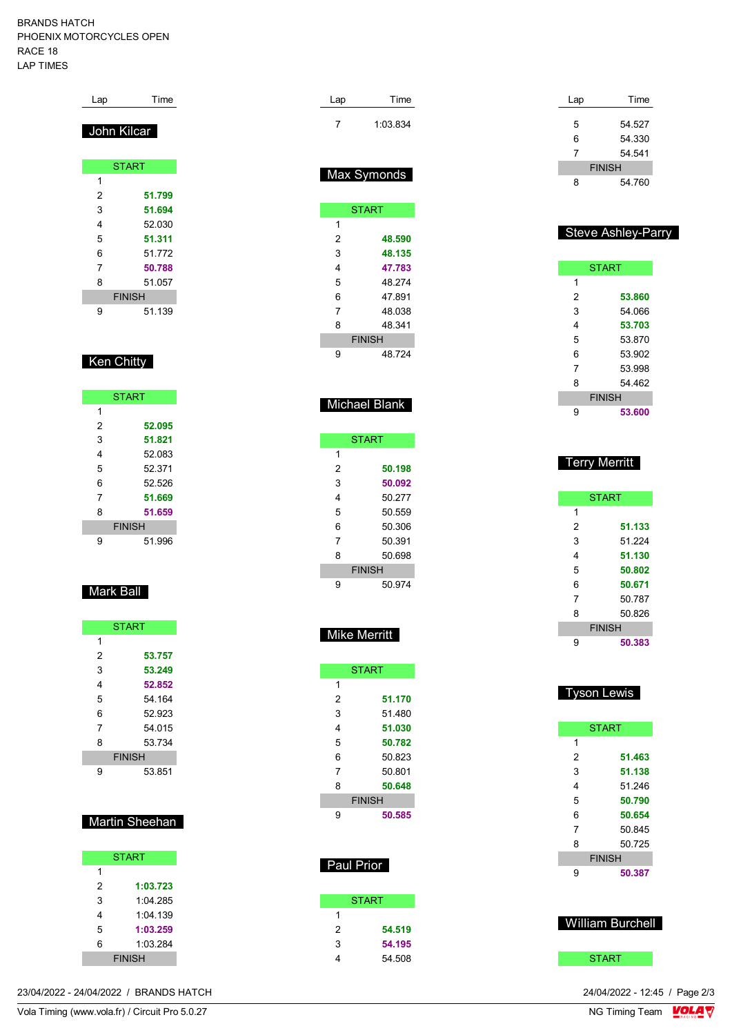#### BRANDS HATCH PHOENIX MOTORCYCLES OPEN RACE 18 LAP TIMES

| Lap         | Time          |
|-------------|---------------|
| John Kilcar |               |
|             | <b>START</b>  |
| 1           |               |
| 2           | 51.799        |
| 3           | 51.694        |
| 4           | 52.030        |
| 5           | 51.311        |
| 6           | 51 772        |
| 7           | 50.788        |
| 8           | 51.057        |
|             | <b>FINISH</b> |
| 9           | 51.139        |

## Ken Chitty

|   | <b>START</b>  |
|---|---------------|
| 1 |               |
| 2 | 52.095        |
| 3 | 51.821        |
| 4 | 52.083        |
| 5 | 52 371        |
| 6 | 52.526        |
| 7 | 51.669        |
| 8 | 51.659        |
|   | <b>FINISH</b> |
| g | 51.996        |

### Mark Ball

|   | <b>START</b>  |  |
|---|---------------|--|
| 1 |               |  |
| 2 | 53.757        |  |
| 3 | 53.249        |  |
| 4 | 52.852        |  |
| 5 | 54 164        |  |
| 6 | 52 923        |  |
| 7 | 54 015        |  |
| 8 | 53.734        |  |
|   | <b>FINISH</b> |  |
| 9 | 53.851        |  |

### Martin Sheehan

|   | <b>START</b>  |
|---|---------------|
| 1 |               |
| 2 | 1:03.723      |
| 3 | 1:04 285      |
| 4 | 1:04.139      |
| 5 | 1:03.259      |
| 6 | 1:03.284      |
|   | <b>FINISH</b> |

23/04/2022 - 24/04/2022 / BRANDS HATCH

| Lap | Time     |  |
|-----|----------|--|
|     | 1:03.834 |  |
|     |          |  |

## Max Symonds

|   | <b>START</b>  |
|---|---------------|
| 1 |               |
| 2 | 48.590        |
| 3 | 48.135        |
| 4 | 47.783        |
| 5 | 48 274        |
| 6 | 47 891        |
| 7 | 48 038        |
| 8 | 48 341        |
|   | <b>FINISH</b> |
| 9 | 48 724        |

## Michael Blank

|   | <b>START</b>  |
|---|---------------|
| 1 |               |
| 2 | 50.198        |
| 3 | 50.092        |
| 4 | 50 277        |
| 5 | 50 559        |
| 6 | 50.306        |
| 7 | 50.391        |
| 8 | 50.698        |
|   | <b>FINISH</b> |
| g | 50 974        |

### Mike Merritt

|   | <b>START</b>  |
|---|---------------|
| 1 |               |
| 2 | 51.170        |
| 3 | 51 480        |
| 4 | 51.030        |
| 5 | 50.782        |
| 6 | 50.823        |
| 7 | 50.801        |
| 8 | 50.648        |
|   | <b>FINISH</b> |
| 9 | 50.585        |

# Paul Prior

|   | <b>START</b> |
|---|--------------|
| 1 |              |
| 2 | 54.519       |
| 3 | 54.195       |
| 4 | 54.508       |
|   |              |

| Lap | Time          |
|-----|---------------|
|     |               |
| 5   | 54.527        |
| 6   | 54.330        |
| 7   | 54 541        |
|     | <b>FINISH</b> |
| 8   | 54 760        |

### Steve Ashley-Parry

|   | <b>START</b>  |
|---|---------------|
| 1 |               |
| 2 | 53.860        |
| 3 | 54.066        |
| 4 | 53.703        |
| 5 | 53.870        |
| 6 | 53.902        |
| 7 | 53 998        |
| 8 | 54 462        |
|   | <b>FINISH</b> |
| 9 | 53.600        |

## Terry Merritt

|   | <b>START</b>  |
|---|---------------|
| 1 |               |
| 2 | 51.133        |
| 3 | 51 224        |
| 4 | 51.130        |
| 5 | 50.802        |
| 6 | 50.671        |
| 7 | 50.787        |
| 8 | 50 826        |
|   | <b>FINISH</b> |
| Q | 50.383        |

## Tyson Lewis

|   | <b>START</b>  |
|---|---------------|
| 1 |               |
| 2 | 51.463        |
| 3 | 51.138        |
| 4 | 51 246        |
| 5 | 50.790        |
| 6 | 50.654        |
| 7 | 50845         |
| 8 | 50.725        |
|   | <b>FINISH</b> |
| 9 | 50.387        |

### William Burchell

#### **START**

24/04/2022 - 12:45 / Page 2/3<br>NG Timing Team  $\frac{\text{VOLA}}{\text{V}}$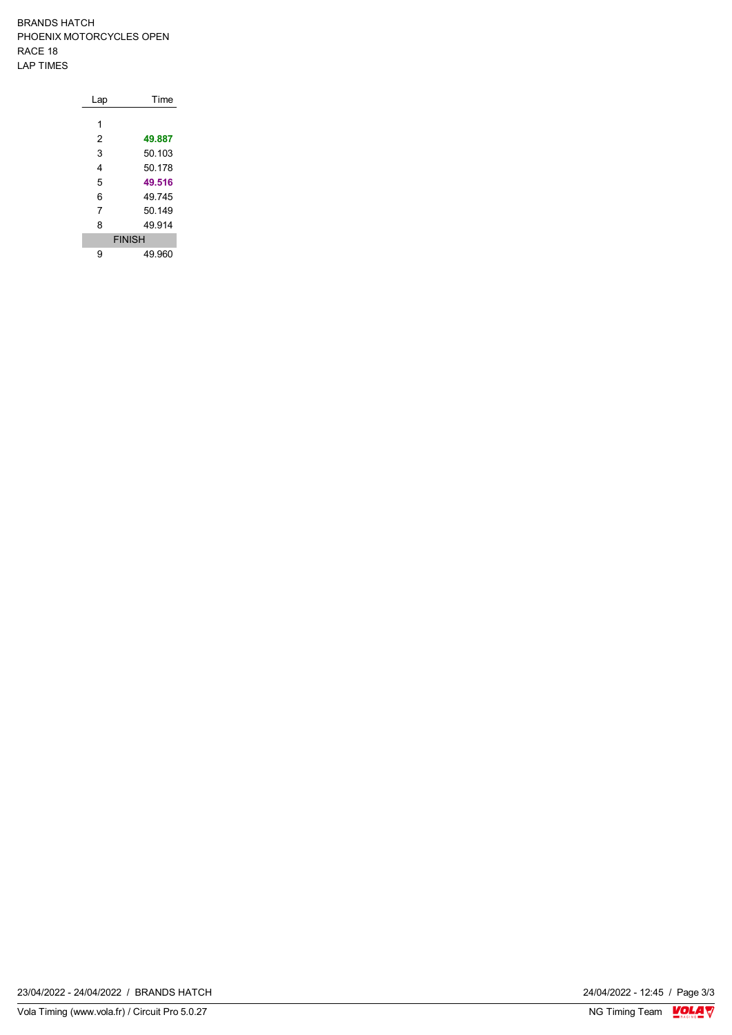BRANDS HATCH PHOENIX MOTORCYCLES OPEN RACE 18 LAP TIMES

| Lap | Time          |
|-----|---------------|
|     |               |
| 1   |               |
| 2   | 49.887        |
| 3   | 50.103        |
| 4   | 50.178        |
| 5   | 49.516        |
| 6   | 49 745        |
| 7   | 50 149        |
| 8   | 49 914        |
|     | <b>FINISH</b> |
| 9   | 49.960        |

24/04/2022 - 12:45 / Page 3/3<br>NG Timing Team  $\frac{\text{VOLA}}{\text{V}}$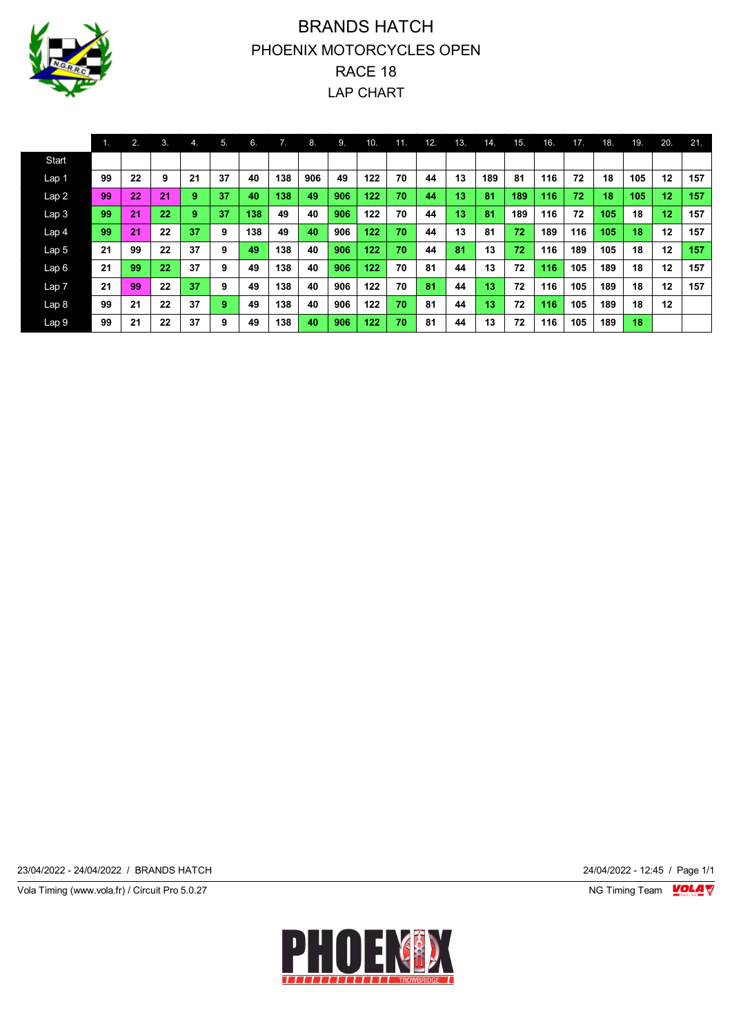

# BRANDS HATCH PHOENIX MOTORCYCLES OPEN RACE 18 LAP CHART

|                  | 1. | 2. | 3. | ъ. | 5. | 6.  | 7.  | 8.  | 9.  | 10. | 11. | 12. | 13. | 14. | 15. | 16. | 17. | 18. | 19. | 20. | 21. |
|------------------|----|----|----|----|----|-----|-----|-----|-----|-----|-----|-----|-----|-----|-----|-----|-----|-----|-----|-----|-----|
| Start            |    |    |    |    |    |     |     |     |     |     |     |     |     |     |     |     |     |     |     |     |     |
| Lap 1            | 99 | 22 | 9  | 21 | 37 | 40  | 138 | 906 | 49  | 122 | 70  | 44  | 13  | 189 | 81  | 116 | 72  | 18  | 105 | 12  | 157 |
| Lap 2            | 99 | 22 | 21 | 9  | 37 | 40  | 138 | 49  | 906 | 122 | 70  | 44  | 13  | 81  | 189 | 116 | 72  | 18  | 105 | 12  | 157 |
| Lap <sub>3</sub> | 99 | 21 | 22 | 9  | 37 | 138 | 49  | 40  | 906 | 122 | 70  | 44  | 13  | 81  | 189 | 116 | 72  | 105 | 18  | 12  | 157 |
| Lap <sub>4</sub> | 99 | 21 | 22 | 37 | 9  | 138 | 49  | 40  | 906 | 122 | 70  | 44  | 13  | 81  | 72  | 189 | 116 | 105 | 18  | 12  | 157 |
| Lap 5            | 21 | 99 | 22 | 37 | 9  | 49  | 138 | 40  | 906 | 122 | 70  | 44  | 81  | 13  | 72  | 116 | 189 | 105 | 18  | 12  | 157 |
| Lap6             | 21 | 99 | 22 | 37 | 9  | 49  | 138 | 40  | 906 | 122 | 70  | 81  | 44  | 13  | 72  | 116 | 105 | 189 | 18  | 12  | 157 |
| Lap 7            | 21 | 99 | 22 | 37 | 9  | 49  | 138 | 40  | 906 | 122 | 70  | 81  | 44  | 13  | 72  | 116 | 105 | 189 | 18  | 12  | 157 |
| Lap 8            | 99 | 21 | 22 | 37 | 9  | 49  | 138 | 40  | 906 | 122 | 70  | 81  | 44  | 13  | 72  | 116 | 105 | 189 | 18  | 12  |     |
| Lap 9            | 99 | 21 | 22 | 37 | 9  | 49  | 138 | 40  | 906 | 122 | 70  | 81  | 44  | 13  | 72  | 116 | 105 | 189 | 18  |     |     |

23/04/2022 - 24/04/2022 / BRANDS HATCH 24/04/2022 - 12:45 / Page 1/1

Vola Timing (www.vola.fr) / Circuit Pro 5.0.27 NG Timing Team MC Timing Team MC Timing Team M

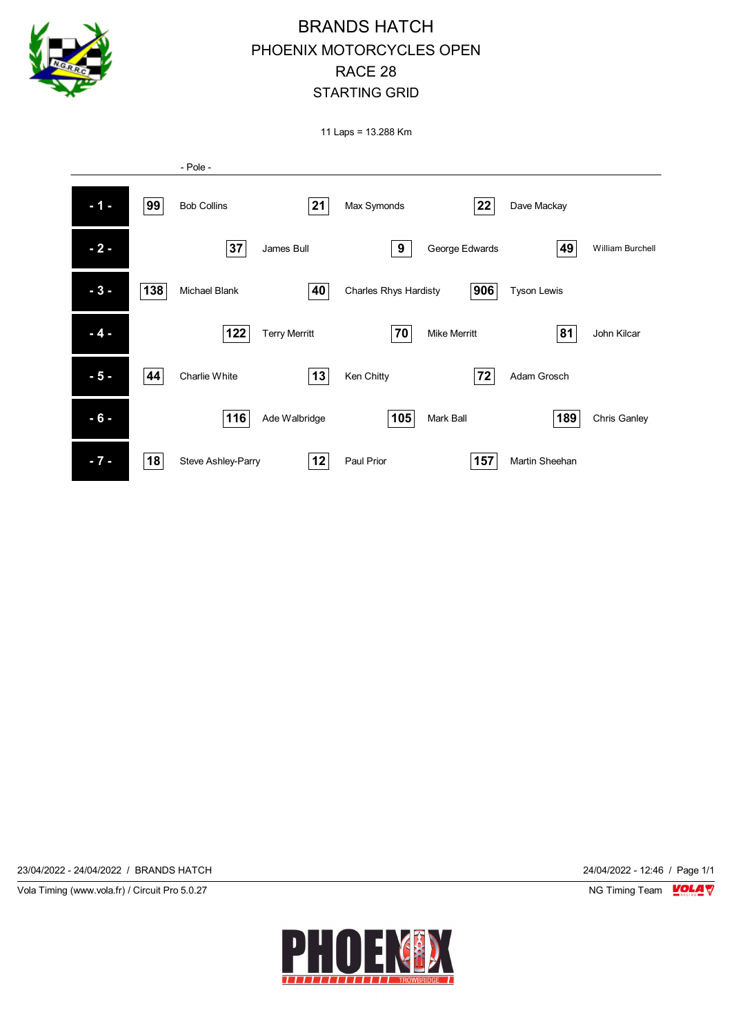

11 Laps = 13.288 Km



23/04/2022 - 24/04/2022 / BRANDS HATCH 24/04/2022 - 12:46 / Page 1/1

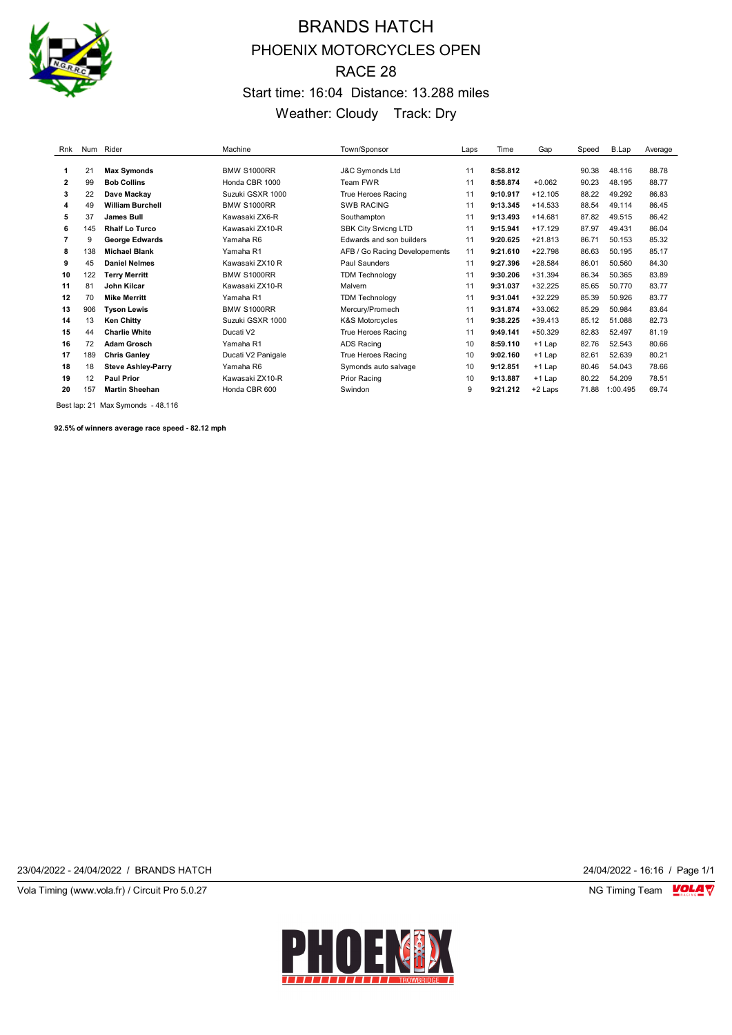

# BRANDS HATCH PHOENIX MOTORCYCLES OPEN RACE 28 Start time: 16:04 Distance: 13.288 miles Weather: Cloudy Track: Dry

| Rnk |     | Num Rider                 | Machine            | Town/Sponsor                  | Laps | Time     | Gap       | Speed | B.Lap    | Average |
|-----|-----|---------------------------|--------------------|-------------------------------|------|----------|-----------|-------|----------|---------|
|     |     |                           |                    |                               |      |          |           |       |          |         |
| 1   | 21  | <b>Max Symonds</b>        | <b>BMW S1000RR</b> | <b>J&amp;C Symonds Ltd</b>    | 11   | 8:58.812 |           | 90.38 | 48.116   | 88.78   |
| 2   | 99  | <b>Bob Collins</b>        | Honda CBR 1000     | Team FWR                      | 11   | 8:58.874 | $+0.062$  | 90.23 | 48.195   | 88.77   |
| 3   | 22  | Dave Mackay               | Suzuki GSXR 1000   | True Heroes Racing            | 11   | 9:10.917 | $+12.105$ | 88.22 | 49.292   | 86.83   |
| 4   | 49  | <b>William Burchell</b>   | <b>BMW S1000RR</b> | <b>SWB RACING</b>             | 11   | 9:13.345 | $+14.533$ | 88.54 | 49.114   | 86.45   |
| 5   | 37  | <b>James Bull</b>         | Kawasaki ZX6-R     | Southampton                   | 11   | 9:13.493 | $+14.681$ | 87.82 | 49.515   | 86.42   |
| 6   | 145 | <b>Rhalf Lo Turco</b>     | Kawasaki ZX10-R    | <b>SBK City Srvicng LTD</b>   | 11   | 9:15.941 | $+17.129$ | 87.97 | 49.431   | 86.04   |
| 7   | 9   | <b>George Edwards</b>     | Yamaha R6          | Edwards and son builders      | 11   | 9:20.625 | $+21.813$ | 86.71 | 50.153   | 85.32   |
| 8   | 138 | <b>Michael Blank</b>      | Yamaha R1          | AFB / Go Racing Developements | 11   | 9:21.610 | $+22.798$ | 86.63 | 50.195   | 85.17   |
| 9   | 45  | <b>Daniel Nelmes</b>      | Kawasaki ZX10 R    | Paul Saunders                 | 11   | 9:27.396 | $+28.584$ | 86.01 | 50.560   | 84.30   |
| 10  | 122 | <b>Terry Merritt</b>      | <b>BMW S1000RR</b> | <b>TDM Technology</b>         | 11   | 9:30.206 | $+31.394$ | 86.34 | 50.365   | 83.89   |
| 11  | 81  | John Kilcar               | Kawasaki ZX10-R    | Malvern                       | 11   | 9:31.037 | $+32.225$ | 85.65 | 50.770   | 83.77   |
| 12  | 70  | <b>Mike Merritt</b>       | Yamaha R1          | <b>TDM Technology</b>         | 11   | 9:31.041 | $+32.229$ | 85.39 | 50.926   | 83.77   |
| 13  | 906 | <b>Tyson Lewis</b>        | <b>BMW S1000RR</b> | Mercury/Promech               | 11   | 9:31.874 | $+33.062$ | 85.29 | 50.984   | 83.64   |
| 14  | 13  | <b>Ken Chitty</b>         | Suzuki GSXR 1000   | <b>K&amp;S Motorcycles</b>    | 11   | 9:38.225 | $+39.413$ | 85.12 | 51.088   | 82.73   |
| 15  | 44  | <b>Charlie White</b>      | Ducati V2          | True Heroes Racing            | 11   | 9:49.141 | $+50.329$ | 82.83 | 52.497   | 81.19   |
| 16  | 72  | <b>Adam Grosch</b>        | Yamaha R1          | <b>ADS Racing</b>             | 10   | 8:59.110 | $+1$ Lap  | 82.76 | 52.543   | 80.66   |
| 17  | 189 | <b>Chris Ganley</b>       | Ducati V2 Panigale | True Heroes Racing            | 10   | 9:02.160 | $+1$ Lap  | 82.61 | 52.639   | 80.21   |
| 18  | 18  | <b>Steve Ashley-Parry</b> | Yamaha R6          | Symonds auto salvage          | 10   | 9:12.851 | $+1$ Lap  | 80.46 | 54.043   | 78.66   |
| 19  | 12  | <b>Paul Prior</b>         | Kawasaki ZX10-R    | Prior Racing                  | 10   | 9:13.887 | $+1$ Lap  | 80.22 | 54.209   | 78.51   |
| 20  | 157 | <b>Martin Sheehan</b>     | Honda CBR 600      | Swindon                       | 9    | 9:21.212 | +2 Laps   | 71.88 | 1:00.495 | 69.74   |

Best lap: 21 Max Symonds - 48.116

**92.5% of winners average race speed - 82.12 mph**

23/04/2022 - 24/04/2022 / BRANDS HATCH 24/04/2022 - 16:16 / Page 1/1

Vola Timing (www.vola.fr) / Circuit Pro 5.0.27 NG Timing Team VOLA V

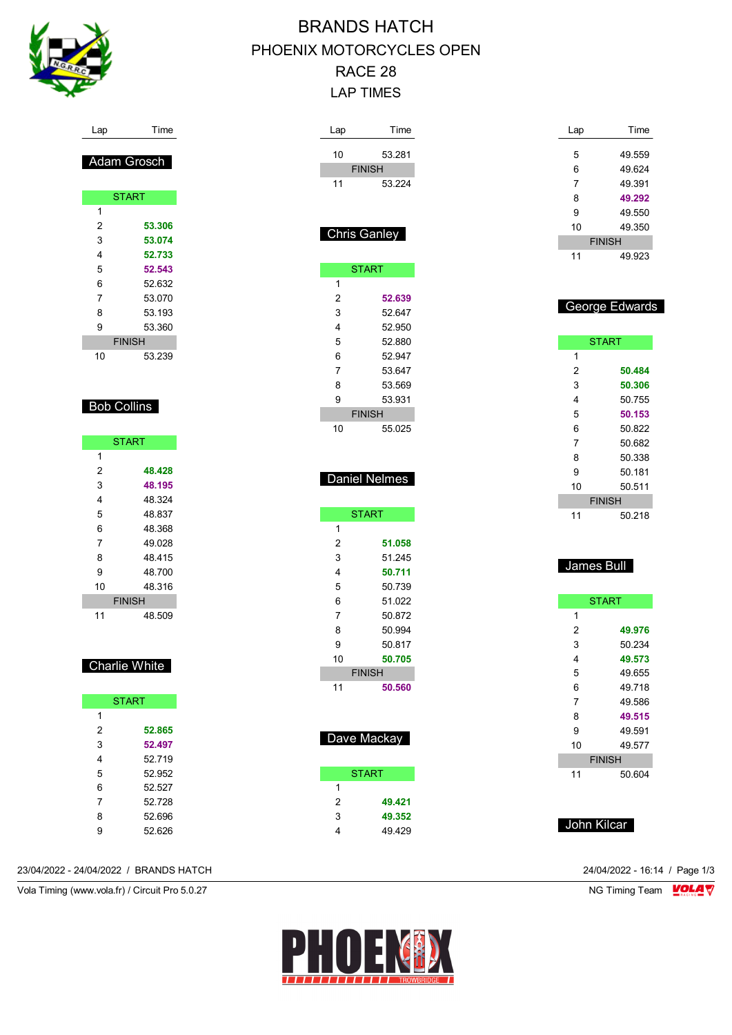

### Lap Time

| Adam Grosch |               |  |  |  |
|-------------|---------------|--|--|--|
|             |               |  |  |  |
|             | <b>START</b>  |  |  |  |
| 1           |               |  |  |  |
| 2           | 53.306        |  |  |  |
| 3           | 53.074        |  |  |  |
| 4           | 52.733        |  |  |  |
| 5           | 52.543        |  |  |  |
| 6           | 52.632        |  |  |  |
| 7           | 53 070        |  |  |  |
| 8           | 53.193        |  |  |  |
| 9           | 53.360        |  |  |  |
|             | <b>FINISH</b> |  |  |  |
| 10          | 53.239        |  |  |  |

#### Bob Collins

|    | <b>START</b>  |  |  |
|----|---------------|--|--|
| 1  |               |  |  |
| 2  | 48.428        |  |  |
| 3  | 48.195        |  |  |
| 4  | 48.324        |  |  |
| 5  | 48.837        |  |  |
| 6  | 48.368        |  |  |
| 7  | 49.028        |  |  |
| 8  | 48 415        |  |  |
| 9  | 48.700        |  |  |
| 10 | 48.316        |  |  |
|    | <b>FINISH</b> |  |  |
| 11 | 48.509        |  |  |

#### Charlie White

| <b>START</b> |        |  |  |  |
|--------------|--------|--|--|--|
| 1            |        |  |  |  |
| 2            | 52.865 |  |  |  |
| 3            | 52.497 |  |  |  |
| 4            | 52 719 |  |  |  |
| 5            | 52.952 |  |  |  |
| 6            | 52.527 |  |  |  |
| 7            | 52.728 |  |  |  |
| 8            | 52 696 |  |  |  |
| g            | 52.626 |  |  |  |

#### 23/04/2022 - 24/04/2022 / BRANDS HATCH 24/04/2022 - 16:14 / Page 1/3

Vola Timing (www.vola.fr) / Circuit Pro 5.0.27 **NG Timing Team** Vola Timing Team Vola Timing Team Vola 17

# BRANDS HATCH PHOENIX MOTORCYCLES OPEN RACE 28 LAP TIMES

| Lap          | Time             |
|--------------|------------------|
| 10           | 53.281           |
|              | <b>FINISH</b>    |
| 11           | 53.224           |
|              |                  |
|              |                  |
| Chris Ganley |                  |
|              |                  |
|              | <b>START</b>     |
| 1            |                  |
| 2            | 52.639           |
| 3            | 52.647           |
| 4<br>5       | 52.950           |
| 6            | 52.880<br>52.947 |
| 7            | 53.647           |
| 8            | 53.569           |
| 9            | 53.931           |
|              | <b>FINISH</b>    |
| 10           | 55.025           |
|              |                  |
|              |                  |
|              | Daniel Nelmes    |
|              |                  |
|              | <b>START</b>     |
| 1            |                  |
| 2            | 51.058           |
| 3            | 51.245           |
| 4            | 50.711           |
| 5            | 50.739           |
| 6            | 51.022           |
| 7            | 50.872           |
| 8            | 50.994           |
| 9            | 50.817           |
| 10           | 50.705           |
|              | <b>FINISH</b>    |
| 11           | 50.560           |
|              |                  |
|              |                  |
|              | Dave Mackay      |
|              |                  |
|              | <b>START</b>     |
| 1            |                  |
| 2            | 49.421           |
| 3            | 49.352           |
| 4            | 49.429           |

| Lap           | Time   |  |  |  |  |
|---------------|--------|--|--|--|--|
|               |        |  |  |  |  |
| 5             | 49 559 |  |  |  |  |
| 6             | 49624  |  |  |  |  |
| 7             | 49.391 |  |  |  |  |
| 8             | 49.292 |  |  |  |  |
| 9             | 49.550 |  |  |  |  |
| 10            | 49 350 |  |  |  |  |
| <b>FINISH</b> |        |  |  |  |  |
| 11            | 49 923 |  |  |  |  |

### George Edwards

|    | <b>START</b>  |
|----|---------------|
| 1  |               |
| 2  | 50.484        |
| 3  | 50.306        |
| 4  | 50.755        |
| 5  | 50.153        |
| 6  | 50.822        |
| 7  | 50.682        |
| 8  | 50.338        |
| 9  | 50.181        |
| 10 | 50.511        |
|    | <b>FINISH</b> |
| 11 | 50.218        |

### James Bull

| <b>START</b> |               |  |
|--------------|---------------|--|
| 1            |               |  |
| 2            | 49.976        |  |
| 3            | 50.234        |  |
| 4            | 49.573        |  |
| 5            | 49.655        |  |
| 6            | 49 718        |  |
| 7            | 49.586        |  |
| 8            | 49.515        |  |
| 9            | 49.591        |  |
| 10           | 49.577        |  |
|              | <b>FINISH</b> |  |
| 11           | 50.604        |  |

## John Kilcar

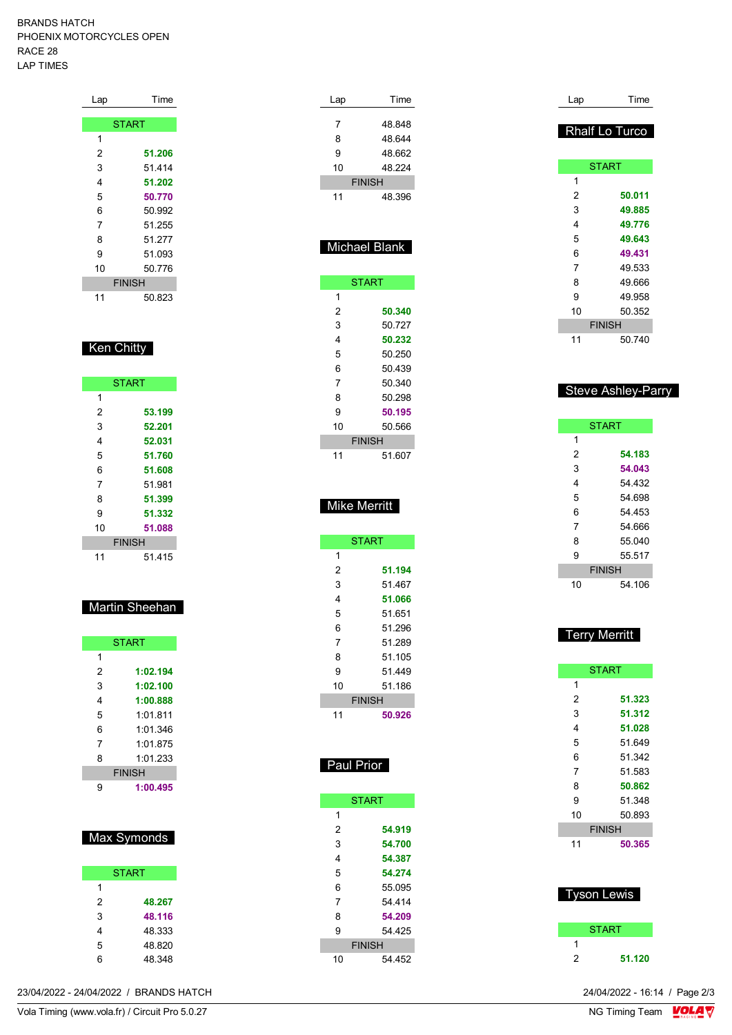#### BRANDS HATCH PHOENIX MOTORCYCLES OPEN RACE 28 LAP TIMES

| Lap | Time          |
|-----|---------------|
|     |               |
|     | <b>START</b>  |
| 1   |               |
| 2   | 51.206        |
| 3   | 51 4 14       |
| 4   | 51.202        |
| 5   | 50.770        |
| 6   | 50.992        |
| 7   | 51.255        |
| 8   | 51.277        |
| 9   | 51.093        |
| 10  | 50.776        |
|     | <b>FINISH</b> |
| 11  | 50.823        |

### Ken Chitty

| <b>START</b> |               |
|--------------|---------------|
| 1            |               |
| 2            | 53.199        |
| 3            | 52.201        |
| 4            | 52.031        |
| 5            | 51.760        |
| 6            | 51.608        |
| 7            | 51 981        |
| 8            | 51.399        |
| 9            | 51.332        |
| 10           | 51.088        |
|              | <b>FINISH</b> |
| 11           | 51 415        |

## Martin Sheehan

|   | <b>START</b>  |
|---|---------------|
| 1 |               |
| 2 | 1:02.194      |
| 3 | 1:02.100      |
| 4 | 1:00.888      |
| 5 | 1:01.811      |
| 6 | 1:01 346      |
| 7 | 1:01 875      |
| 8 | 1:01.233      |
|   | <b>FINISH</b> |
| g | 1:00.495      |

## Max Sym

|   | <b>START</b> |
|---|--------------|
| 1 |              |
| 2 | 48.267       |
| 3 | 48.116       |
| 4 | 48.333       |
| 5 | 48.820       |
| 6 | 48.348       |

|                                                |   |              |  |    | <b>OIANI</b>  | ະ              | <b>UL.J40</b>                 |  |
|------------------------------------------------|---|--------------|--|----|---------------|----------------|-------------------------------|--|
|                                                |   |              |  |    |               | 10             | 50.893                        |  |
|                                                |   |              |  | 2  | 54.919        |                | <b>FINISH</b>                 |  |
|                                                |   | Max Symonds  |  | 3  | 54.700        | 11             | 50.365                        |  |
|                                                |   |              |  | 4  | 54.387        |                |                               |  |
|                                                |   | <b>START</b> |  | 5  | 54.274        |                |                               |  |
|                                                |   |              |  | 6  | 55.095        |                | <b>Tyson Lewis</b>            |  |
|                                                | 2 | 48.267       |  |    | 54.414        |                |                               |  |
|                                                | 3 | 48.116       |  | 8  | 54.209        |                |                               |  |
|                                                | 4 | 48.333       |  | 9  | 54.425        |                | <b>START</b>                  |  |
|                                                | 5 | 48.820       |  |    | <b>FINISH</b> |                |                               |  |
|                                                | 6 | 48.348       |  | 10 | 54.452        | $\overline{2}$ | 51.120                        |  |
| 23/04/2022 - 24/04/2022 / BRANDS HATCH         |   |              |  |    |               |                | 24/04/2022 - 16:14 / Page 2/3 |  |
| Vola Timing (www.vola.fr) / Circuit Pro 5.0.27 |   |              |  |    |               |                | NG Timing Team <b>LOLA</b>    |  |

| Lap                 | Time                 |
|---------------------|----------------------|
| 7                   | 48.848               |
| 8                   | 48.644               |
| 9                   | 48.662               |
| 10                  | 48.224               |
|                     | <b>FINISH</b>        |
| 11                  | 48.396               |
|                     |                      |
|                     |                      |
|                     |                      |
|                     | <b>Michael Blank</b> |
|                     |                      |
|                     | <b>START</b>         |
| 1                   |                      |
| $\overline{c}$      | 50.340               |
| 3                   | 50.727               |
| 4                   | 50.232               |
| 5                   | 50.250               |
| 6                   | 50.439               |
| 7                   | 50.340               |
| 8                   | 50.298               |
| 9                   | 50.195               |
| 10                  | 50.566               |
|                     | <b>FINISH</b>        |
| 11                  | 51.607               |
|                     |                      |
|                     |                      |
|                     |                      |
| <b>Mike Merritt</b> |                      |
|                     |                      |
|                     | <b>START</b>         |
| 1                   |                      |
| $\overline{2}$      | 51.194               |
| 3                   | 51.467               |
| 4                   | 51.066               |
| 5                   | 51.651               |
| 6                   | 51.296               |
| 7                   | 51 289               |
| 8                   | 51.105               |
| 9                   | 51.449               |
| 10                  | 51.186               |
|                     | <b>FINISH</b>        |
| 11                  | 50.926               |
|                     |                      |
|                     |                      |
|                     |                      |
| Paul Prior          |                      |
|                     |                      |
|                     | <b>START</b>         |
| 1                   |                      |
| $\overline{c}$      | 54.919               |
| 3                   | 54.700               |
| 4                   | 54.387               |
| 5                   | 54.274               |
| 6                   | 55.095               |
| 7                   | 54.414               |
| 8                   | 54.209               |
|                     |                      |
| 9                   | 54.425               |

| Lap            | Time                      |
|----------------|---------------------------|
|                | Rhalf Lo Turco            |
|                | <b>START</b>              |
| 1              |                           |
| $\overline{2}$ | 50.011                    |
| 3              | 49.885                    |
| 4              | 49.776                    |
| 5              | 49.643                    |
| 6              | 49.431                    |
| $\overline{7}$ | 49.533                    |
| 8              | 49.666                    |
| 9              | 49.958                    |
| 10             | 50.352                    |
|                | <b>FINISH</b>             |
| 11             | 50.740                    |
|                | <b>Steve Ashley-Parry</b> |
|                | <b>START</b>              |
| 1              |                           |
| 2              | 54.183                    |
| 3              | 54.043                    |
| 4              | 54.432                    |
| 5              | 54.698                    |
| 6              | 54.453                    |
| 7              | 54.666                    |
| 8              | 55.040                    |

| 9  | 55.517        |
|----|---------------|
|    | <b>FINISH</b> |
| 10 | 54 106        |

| <b>Terry Merritt</b> |
|----------------------|
|                      |
|                      |

| <b>START</b>  |            |  |
|---------------|------------|--|
| 1             |            |  |
| 2             | 51.323     |  |
| 3             | 51.312     |  |
| 4             | 51.028     |  |
| 5             | 51.649     |  |
| 6             | 51.342     |  |
| 7             | 51.583     |  |
| 8             | 50.862     |  |
| 9             | 51.348     |  |
| 10            | 50.893     |  |
| <b>FINISH</b> |            |  |
| 11            | 50.365     |  |
|               |            |  |
|               |            |  |
|               | vson Lewis |  |

|   | і уэ∪іі ∟ейлэ |
|---|---------------|
|   | START         |
|   |               |
| 2 | 51.120        |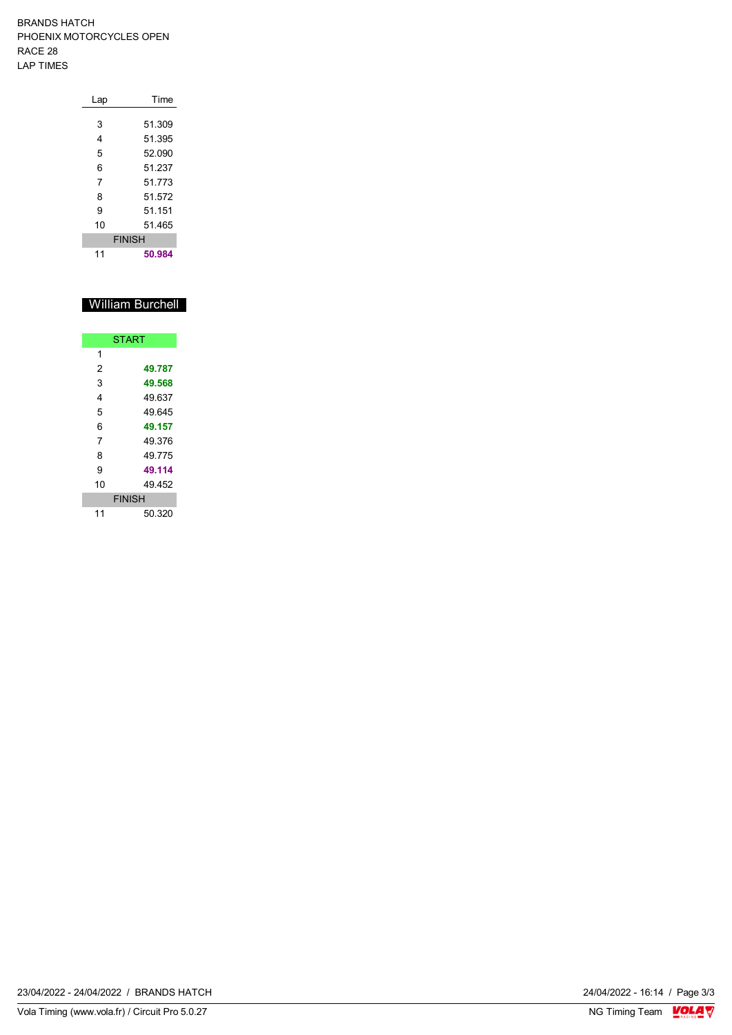BRANDS HATCH PHOENIX MOTORCYCLES OPEN RACE 28 LAP TIMES

| Lap           | Time   |  |  |  |  |  |  |
|---------------|--------|--|--|--|--|--|--|
|               |        |  |  |  |  |  |  |
| 3             | 51.309 |  |  |  |  |  |  |
| 4             | 51.395 |  |  |  |  |  |  |
| 5             | 52.090 |  |  |  |  |  |  |
| 6             | 51.237 |  |  |  |  |  |  |
| 7             | 51.773 |  |  |  |  |  |  |
| 8             | 51 572 |  |  |  |  |  |  |
| 9             | 51.151 |  |  |  |  |  |  |
| 10            | 51 465 |  |  |  |  |  |  |
| <b>FINISH</b> |        |  |  |  |  |  |  |
| 11            | 50.984 |  |  |  |  |  |  |

## William Burchell

|    | <b>START</b>  |
|----|---------------|
| 1  |               |
| 2  | 49.787        |
| 3  | 49.568        |
| 4  | 49.637        |
| 5  | 49 645        |
| 6  | 49.157        |
| 7  | 49.376        |
| 8  | 49.775        |
| 9  | 49.114        |
| 10 | 49.452        |
|    | <b>FINISH</b> |
| 11 | 50.320        |